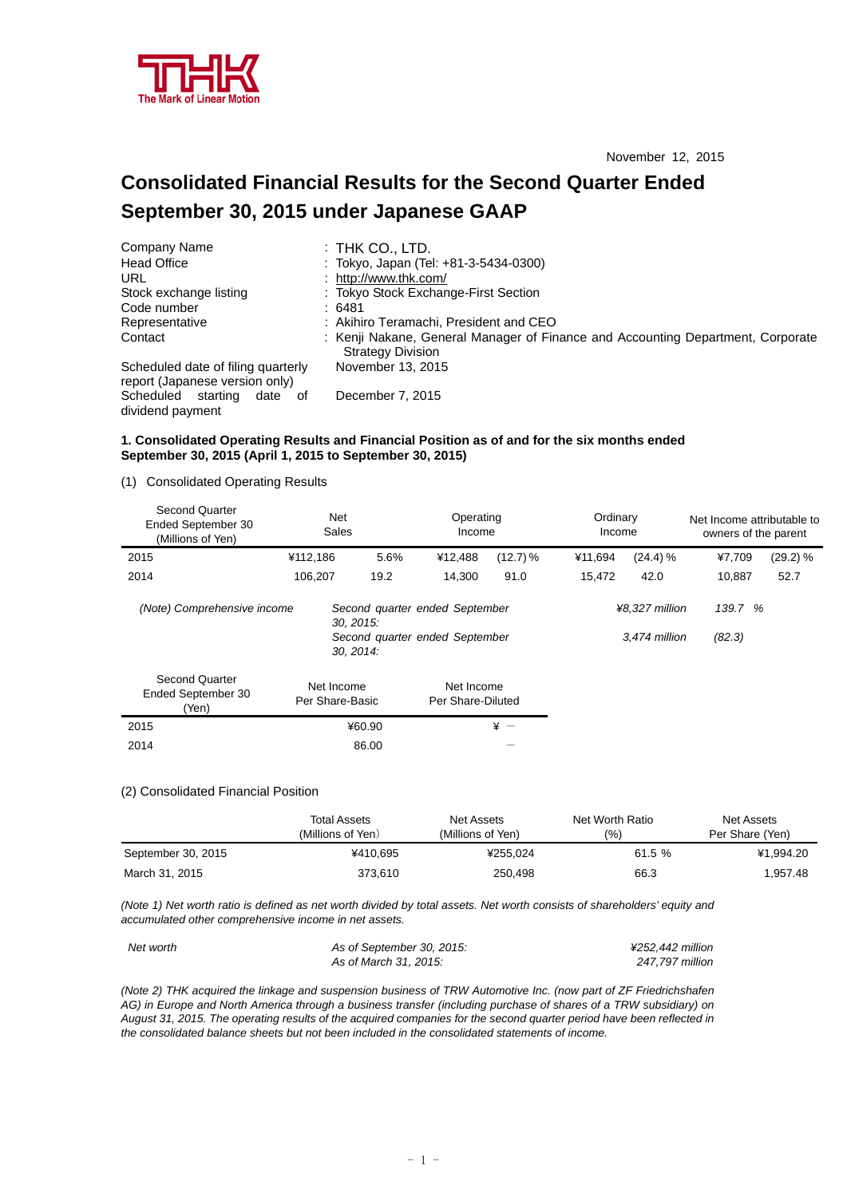

# **Consolidated Financial Results for the Second Quarter Ended September 30, 2015 under Japanese GAAP**

| Company Name                                                         | $:$ THK CO., LTD.                                                                                           |
|----------------------------------------------------------------------|-------------------------------------------------------------------------------------------------------------|
| <b>Head Office</b>                                                   | : Tokyo, Japan (Tel: +81-3-5434-0300)                                                                       |
| URL                                                                  | : http://www.thk.com/                                                                                       |
| Stock exchange listing                                               | : Tokyo Stock Exchange-First Section                                                                        |
| Code number                                                          | :6481                                                                                                       |
| Representative                                                       | : Akihiro Teramachi, President and CEO                                                                      |
| Contact                                                              | : Kenji Nakane, General Manager of Finance and Accounting Department, Corporate<br><b>Strategy Division</b> |
| Scheduled date of filing quarterly<br>report (Japanese version only) | November 13, 2015                                                                                           |
| Scheduled starting<br>date of<br>dividend payment                    | December 7, 2015                                                                                            |

## **1. Consolidated Operating Results and Financial Position as of and for the six months ended September 30, 2015 (April 1, 2015 to September 30, 2015)**

(1) Consolidated Operating Results

| <b>Second Quarter</b><br>Ended September 30<br>(Millions of Yen) | Net<br>Sales                  | Operating<br>Income |                                                                  | Ordinary<br>Income |         |                                 | Net Income attributable to<br>owners of the parent |          |
|------------------------------------------------------------------|-------------------------------|---------------------|------------------------------------------------------------------|--------------------|---------|---------------------------------|----------------------------------------------------|----------|
| 2015                                                             | ¥112,186                      | 5.6%                | ¥12,488                                                          | $(12.7)\%$         | ¥11,694 | (24.4) %                        | ¥7,709                                             | (29.2) % |
| 2014                                                             | 106,207                       | 19.2                | 14.300                                                           | 91.0               | 15.472  | 42.0                            | 10,887                                             | 52.7     |
| (Note) Comprehensive income                                      | 30. 2015.<br>30, 2014:        |                     | Second quarter ended September<br>Second quarter ended September |                    |         | ¥8.327 million<br>3.474 million | 139.7 %<br>(82.3)                                  |          |
| <b>Second Quarter</b><br>Ended September 30<br>(Yen)             | Net Income<br>Per Share-Basic |                     | Net Income<br>Per Share-Diluted                                  |                    |         |                                 |                                                    |          |
| 2015                                                             | ¥60.90                        |                     |                                                                  | $* -$              |         |                                 |                                                    |          |
| 2014                                                             |                               | 86.00               |                                                                  |                    |         |                                 |                                                    |          |

### (2) Consolidated Financial Position

|                    | Total Assets<br>(Millions of Yen) | Net Assets<br>(Millions of Yen) | Net Worth Ratio<br>(9/0) | Net Assets<br>Per Share (Yen) |
|--------------------|-----------------------------------|---------------------------------|--------------------------|-------------------------------|
| September 30, 2015 | ¥410.695                          | ¥255.024                        | 61.5 %                   | ¥1.994.20                     |
| March 31, 2015     | 373.610                           | 250,498                         | 66.3                     | .957.48                       |

*(Note 1) Net worth ratio is defined as net worth divided by total assets. Net worth consists of shareholders' equity and accumulated other comprehensive income in net assets.* 

| Net worth | As of September 30, 2015: | ¥252.442 million |
|-----------|---------------------------|------------------|
|           | As of March 31, 2015:     | 247.797 million  |

*(Note 2) THK acquired the linkage and suspension business of TRW Automotive Inc. (now part of ZF Friedrichshafen AG) in Europe and North America through a business transfer (including purchase of shares of a TRW subsidiary) on August 31, 2015. The operating results of the acquired companies for the second quarter period have been reflected in the consolidated balance sheets but not been included in the consolidated statements of income.*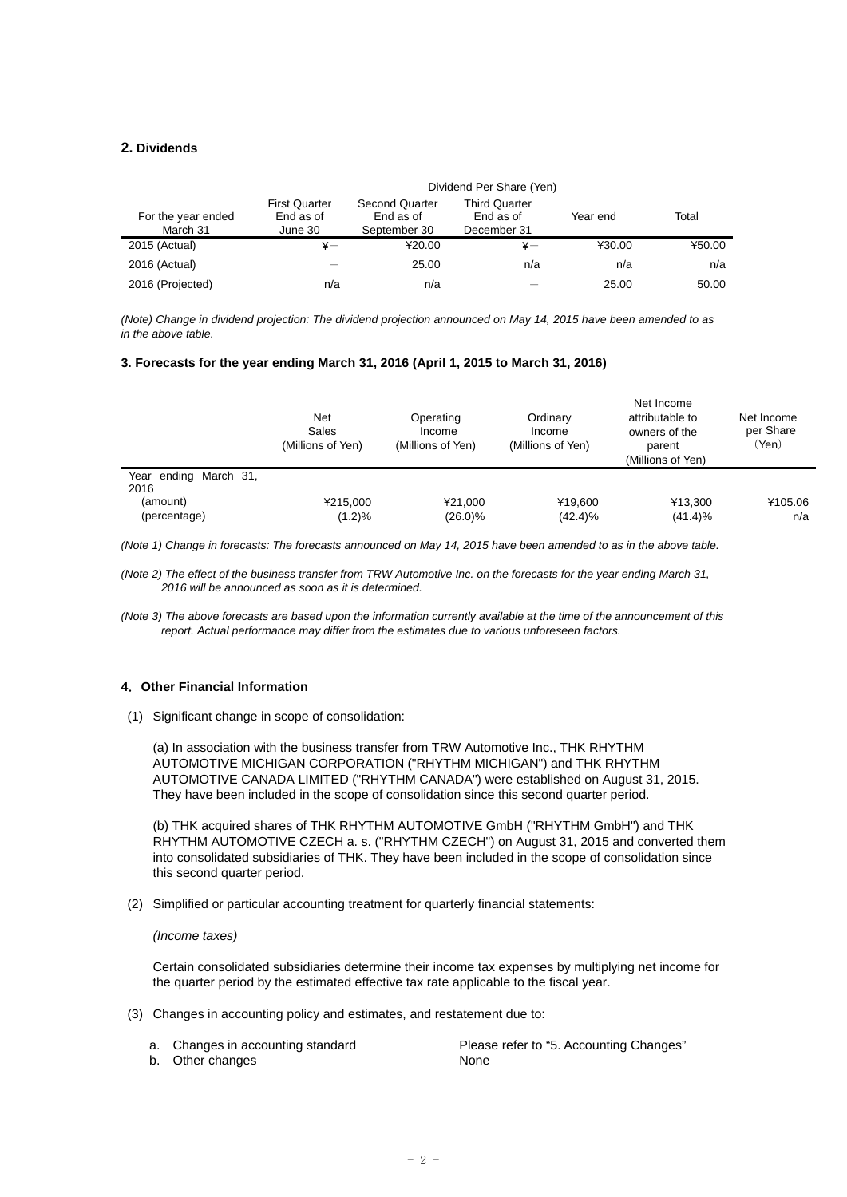## **2. Dividends**

|                                | Dividend Per Share (Yen)                     |                                                    |                                                  |          |        |
|--------------------------------|----------------------------------------------|----------------------------------------------------|--------------------------------------------------|----------|--------|
| For the year ended<br>March 31 | <b>First Quarter</b><br>End as of<br>June 30 | <b>Second Quarter</b><br>End as of<br>September 30 | <b>Third Quarter</b><br>End as of<br>December 31 | Year end | Total  |
| 2015 (Actual)                  | $\ddot{x}$ —                                 | ¥20.00                                             | ¥-                                               | ¥30.00   | ¥50.00 |
| 2016 (Actual)                  |                                              | 25.00                                              | n/a                                              | n/a      | n/a    |
| 2016 (Projected)               | n/a                                          | n/a                                                |                                                  | 25.00    | 50.00  |

*(Note) Change in dividend projection: The dividend projection announced on May 14, 2015 have been amended to as in the above table.* 

#### **3. Forecasts for the year ending March 31, 2016 (April 1, 2015 to March 31, 2016)**

|                                                           | Net<br>Sales<br>(Millions of Yen) | Operating<br>Income<br>(Millions of Yen) | Ordinary<br>Income<br>(Millions of Yen) | Net Income<br>attributable to<br>owners of the<br>parent<br>(Millions of Yen) | Net Income<br>per Share<br>(Yen) |
|-----------------------------------------------------------|-----------------------------------|------------------------------------------|-----------------------------------------|-------------------------------------------------------------------------------|----------------------------------|
| Year ending March 31,<br>2016<br>(amount)<br>(percentage) | ¥215,000<br>(1.2)%                | ¥21.000<br>$(26.0)\%$                    | ¥19.600<br>$(42.4)\%$                   | ¥13.300<br>$(41.4)\%$                                                         | ¥105.06<br>n/a                   |

*(Note 1) Change in forecasts: The forecasts announced on May 14, 2015 have been amended to as in the above table.* 

*(Note 2) The effect of the business transfer from TRW Automotive Inc. on the forecasts for the year ending March 31, 2016 will be announced as soon as it is determined.* 

*(Note 3) The above forecasts are based upon the information currently available at the time of the announcement of this report. Actual performance may differ from the estimates due to various unforeseen factors.* 

### **4**.**Other Financial Information**

(1) Significant change in scope of consolidation:

(a) In association with the business transfer from TRW Automotive Inc., THK RHYTHM AUTOMOTIVE MICHIGAN CORPORATION ("RHYTHM MICHIGAN") and THK RHYTHM AUTOMOTIVE CANADA LIMITED ("RHYTHM CANADA") were established on August 31, 2015. They have been included in the scope of consolidation since this second quarter period.

(b) THK acquired shares of THK RHYTHM AUTOMOTIVE GmbH ("RHYTHM GmbH") and THK RHYTHM AUTOMOTIVE CZECH a. s. ("RHYTHM CZECH") on August 31, 2015 and converted them into consolidated subsidiaries of THK. They have been included in the scope of consolidation since this second quarter period.

(2) Simplified or particular accounting treatment for quarterly financial statements:

#### *(Income taxes)*

Certain consolidated subsidiaries determine their income tax expenses by multiplying net income for the quarter period by the estimated effective tax rate applicable to the fiscal year.

- (3) Changes in accounting policy and estimates, and restatement due to:
	- a. Changes in accounting standard b. Other changes None

Please refer to "5. Accounting Changes"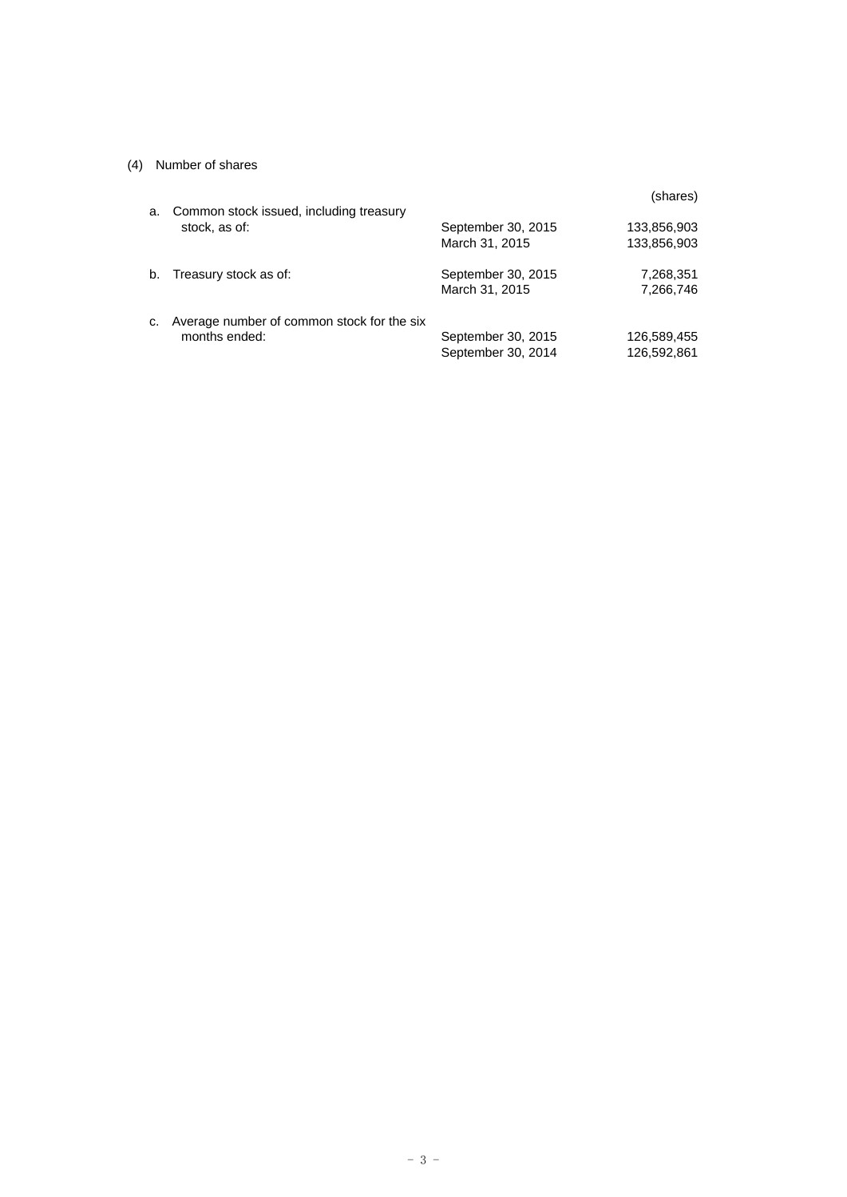## (4) Number of shares

| a. | Common stock issued, including treasury                     |                                          | (shares)                   |
|----|-------------------------------------------------------------|------------------------------------------|----------------------------|
|    | stock, as of:                                               | September 30, 2015<br>March 31, 2015     | 133,856,903<br>133,856,903 |
| b. | Treasury stock as of:                                       | September 30, 2015<br>March 31, 2015     | 7,268,351<br>7,266,746     |
| C. | Average number of common stock for the six<br>months ended: | September 30, 2015<br>September 30, 2014 | 126,589,455<br>126,592,861 |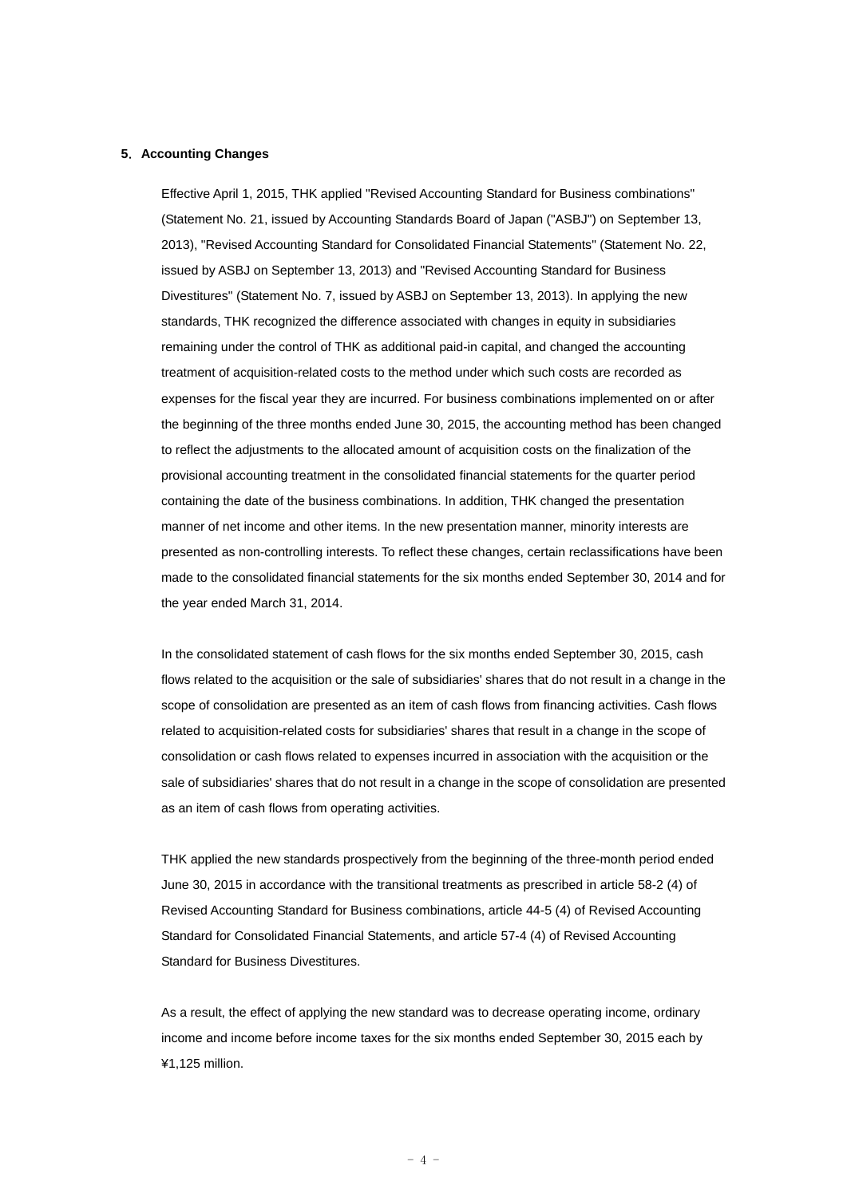#### **5**.**Accounting Changes**

Effective April 1, 2015, THK applied "Revised Accounting Standard for Business combinations" (Statement No. 21, issued by Accounting Standards Board of Japan ("ASBJ") on September 13, 2013), "Revised Accounting Standard for Consolidated Financial Statements" (Statement No. 22, issued by ASBJ on September 13, 2013) and "Revised Accounting Standard for Business Divestitures" (Statement No. 7, issued by ASBJ on September 13, 2013). In applying the new standards, THK recognized the difference associated with changes in equity in subsidiaries remaining under the control of THK as additional paid-in capital, and changed the accounting treatment of acquisition-related costs to the method under which such costs are recorded as expenses for the fiscal year they are incurred. For business combinations implemented on or after the beginning of the three months ended June 30, 2015, the accounting method has been changed to reflect the adjustments to the allocated amount of acquisition costs on the finalization of the provisional accounting treatment in the consolidated financial statements for the quarter period containing the date of the business combinations. In addition, THK changed the presentation manner of net income and other items. In the new presentation manner, minority interests are presented as non-controlling interests. To reflect these changes, certain reclassifications have been made to the consolidated financial statements for the six months ended September 30, 2014 and for the year ended March 31, 2014.

In the consolidated statement of cash flows for the six months ended September 30, 2015, cash flows related to the acquisition or the sale of subsidiaries' shares that do not result in a change in the scope of consolidation are presented as an item of cash flows from financing activities. Cash flows related to acquisition-related costs for subsidiaries' shares that result in a change in the scope of consolidation or cash flows related to expenses incurred in association with the acquisition or the sale of subsidiaries' shares that do not result in a change in the scope of consolidation are presented as an item of cash flows from operating activities.

THK applied the new standards prospectively from the beginning of the three-month period ended June 30, 2015 in accordance with the transitional treatments as prescribed in article 58-2 (4) of Revised Accounting Standard for Business combinations, article 44-5 (4) of Revised Accounting Standard for Consolidated Financial Statements, and article 57-4 (4) of Revised Accounting Standard for Business Divestitures.

As a result, the effect of applying the new standard was to decrease operating income, ordinary income and income before income taxes for the six months ended September 30, 2015 each by ¥1,125 million.

 $-4 -$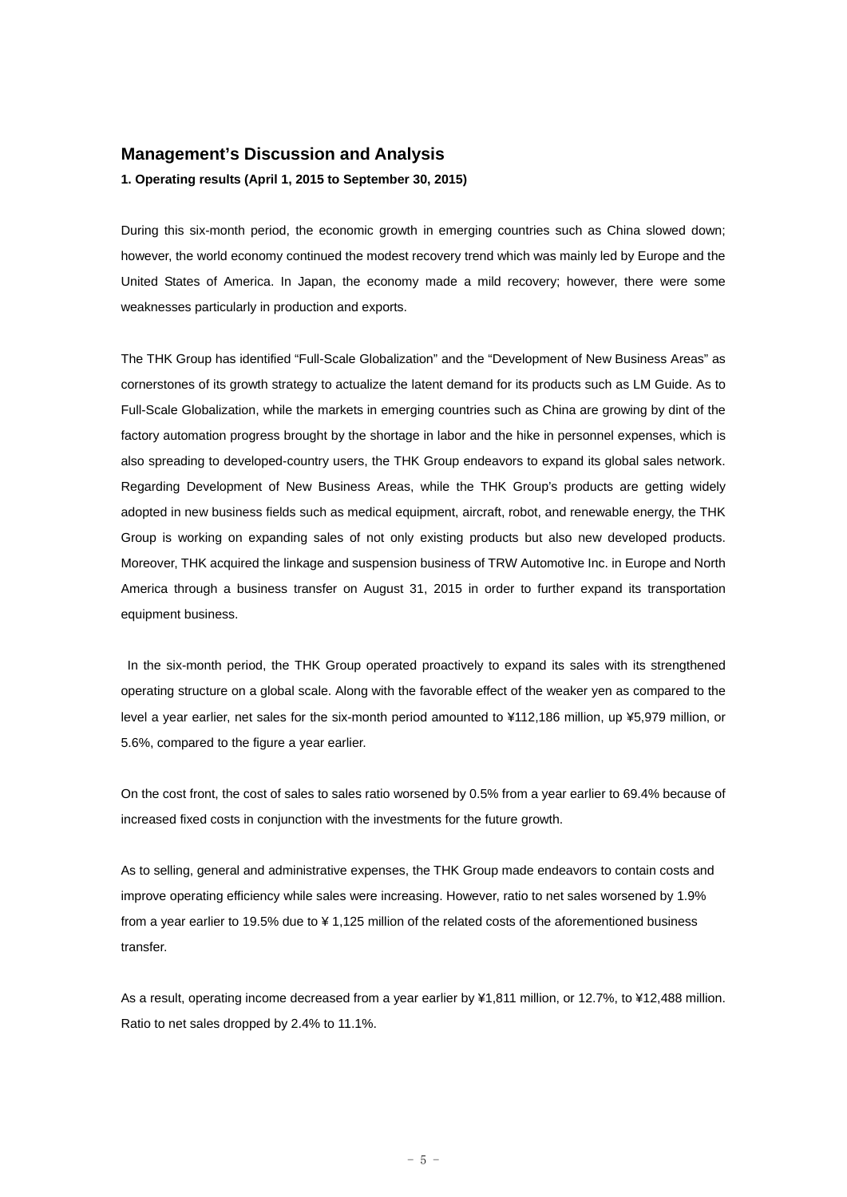## **Management's Discussion and Analysis**

**1. Operating results (April 1, 2015 to September 30, 2015)** 

During this six-month period, the economic growth in emerging countries such as China slowed down; however, the world economy continued the modest recovery trend which was mainly led by Europe and the United States of America. In Japan, the economy made a mild recovery; however, there were some weaknesses particularly in production and exports.

The THK Group has identified "Full-Scale Globalization" and the "Development of New Business Areas" as cornerstones of its growth strategy to actualize the latent demand for its products such as LM Guide. As to Full-Scale Globalization, while the markets in emerging countries such as China are growing by dint of the factory automation progress brought by the shortage in labor and the hike in personnel expenses, which is also spreading to developed-country users, the THK Group endeavors to expand its global sales network. Regarding Development of New Business Areas, while the THK Group's products are getting widely adopted in new business fields such as medical equipment, aircraft, robot, and renewable energy, the THK Group is working on expanding sales of not only existing products but also new developed products. Moreover, THK acquired the linkage and suspension business of TRW Automotive Inc. in Europe and North America through a business transfer on August 31, 2015 in order to further expand its transportation equipment business.

 In the six-month period, the THK Group operated proactively to expand its sales with its strengthened operating structure on a global scale. Along with the favorable effect of the weaker yen as compared to the level a year earlier, net sales for the six-month period amounted to ¥112,186 million, up ¥5,979 million, or 5.6%, compared to the figure a year earlier.

On the cost front, the cost of sales to sales ratio worsened by 0.5% from a year earlier to 69.4% because of increased fixed costs in conjunction with the investments for the future growth.

As to selling, general and administrative expenses, the THK Group made endeavors to contain costs and improve operating efficiency while sales were increasing. However, ratio to net sales worsened by 1.9% from a year earlier to 19.5% due to ¥ 1,125 million of the related costs of the aforementioned business transfer.

As a result, operating income decreased from a year earlier by ¥1,811 million, or 12.7%, to ¥12,488 million. Ratio to net sales dropped by 2.4% to 11.1%.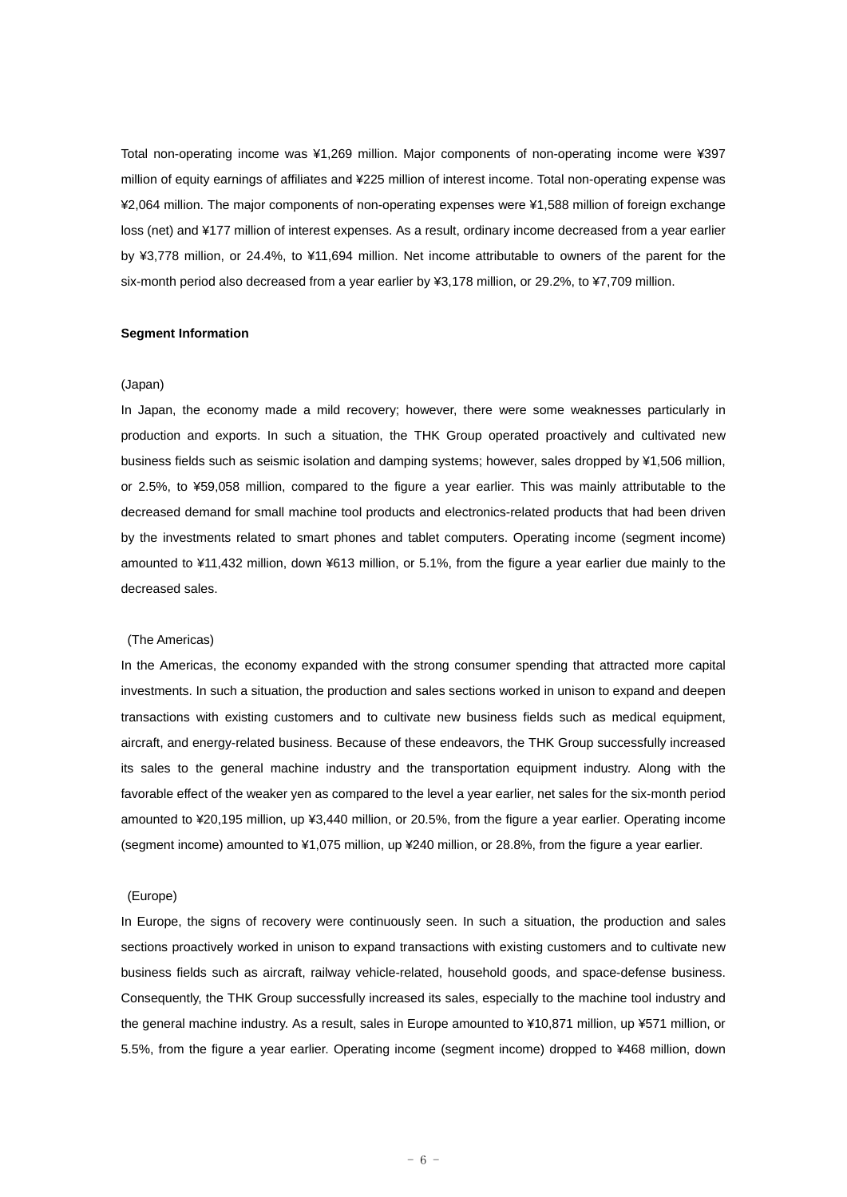Total non-operating income was ¥1,269 million. Major components of non-operating income were ¥397 million of equity earnings of affiliates and ¥225 million of interest income. Total non-operating expense was ¥2,064 million. The major components of non-operating expenses were ¥1,588 million of foreign exchange loss (net) and ¥177 million of interest expenses. As a result, ordinary income decreased from a year earlier by ¥3,778 million, or 24.4%, to ¥11,694 million. Net income attributable to owners of the parent for the six-month period also decreased from a year earlier by ¥3,178 million, or 29.2%, to ¥7,709 million.

#### **Segment Information**

#### (Japan)

In Japan, the economy made a mild recovery; however, there were some weaknesses particularly in production and exports. In such a situation, the THK Group operated proactively and cultivated new business fields such as seismic isolation and damping systems; however, sales dropped by ¥1,506 million, or 2.5%, to ¥59,058 million, compared to the figure a year earlier. This was mainly attributable to the decreased demand for small machine tool products and electronics-related products that had been driven by the investments related to smart phones and tablet computers. Operating income (segment income) amounted to ¥11,432 million, down ¥613 million, or 5.1%, from the figure a year earlier due mainly to the decreased sales.

#### (The Americas)

In the Americas, the economy expanded with the strong consumer spending that attracted more capital investments. In such a situation, the production and sales sections worked in unison to expand and deepen transactions with existing customers and to cultivate new business fields such as medical equipment, aircraft, and energy-related business. Because of these endeavors, the THK Group successfully increased its sales to the general machine industry and the transportation equipment industry. Along with the favorable effect of the weaker yen as compared to the level a year earlier, net sales for the six-month period amounted to ¥20,195 million, up ¥3,440 million, or 20.5%, from the figure a year earlier. Operating income (segment income) amounted to ¥1,075 million, up ¥240 million, or 28.8%, from the figure a year earlier.

#### (Europe)

In Europe, the signs of recovery were continuously seen. In such a situation, the production and sales sections proactively worked in unison to expand transactions with existing customers and to cultivate new business fields such as aircraft, railway vehicle-related, household goods, and space-defense business. Consequently, the THK Group successfully increased its sales, especially to the machine tool industry and the general machine industry. As a result, sales in Europe amounted to ¥10,871 million, up ¥571 million, or 5.5%, from the figure a year earlier. Operating income (segment income) dropped to ¥468 million, down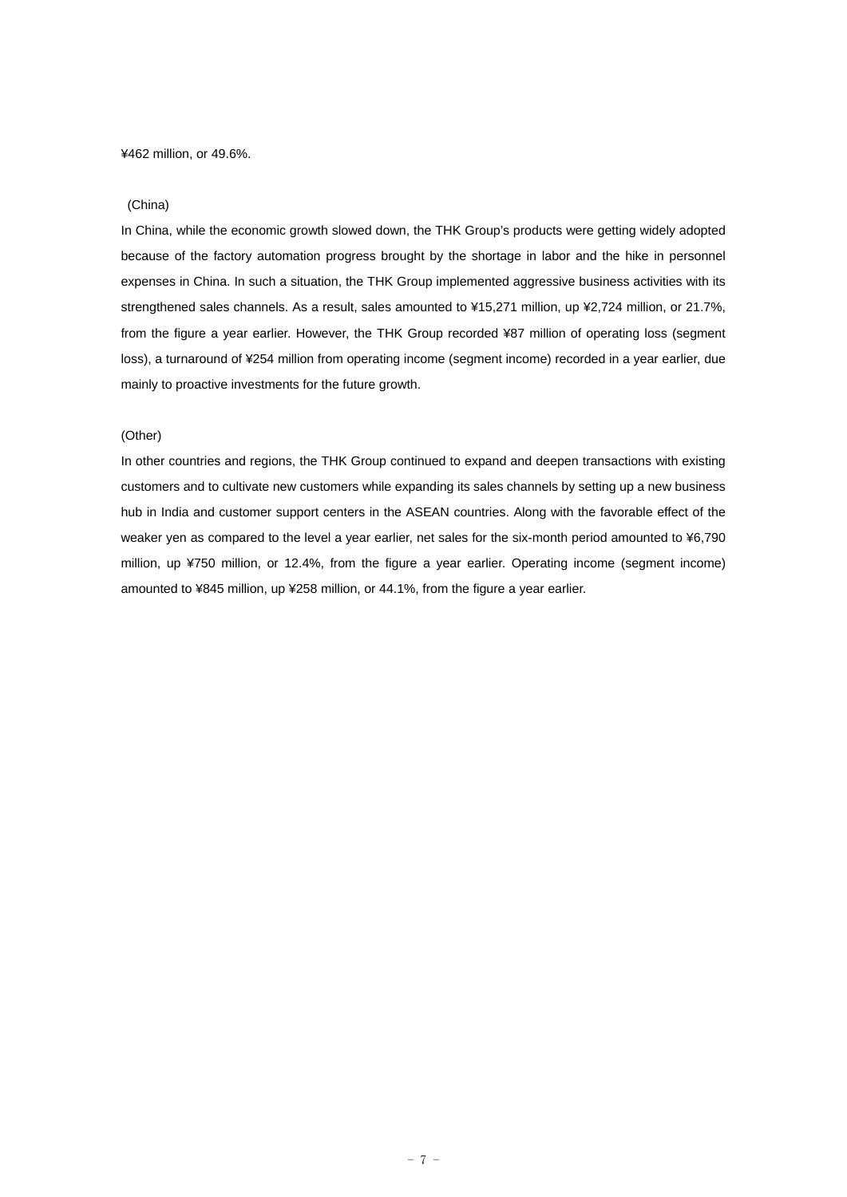¥462 million, or 49.6%.

#### (China)

In China, while the economic growth slowed down, the THK Group's products were getting widely adopted because of the factory automation progress brought by the shortage in labor and the hike in personnel expenses in China. In such a situation, the THK Group implemented aggressive business activities with its strengthened sales channels. As a result, sales amounted to ¥15,271 million, up ¥2,724 million, or 21.7%, from the figure a year earlier. However, the THK Group recorded ¥87 million of operating loss (segment loss), a turnaround of ¥254 million from operating income (segment income) recorded in a year earlier, due mainly to proactive investments for the future growth.

### (Other)

In other countries and regions, the THK Group continued to expand and deepen transactions with existing customers and to cultivate new customers while expanding its sales channels by setting up a new business hub in India and customer support centers in the ASEAN countries. Along with the favorable effect of the weaker yen as compared to the level a year earlier, net sales for the six-month period amounted to ¥6,790 million, up ¥750 million, or 12.4%, from the figure a year earlier. Operating income (segment income) amounted to ¥845 million, up ¥258 million, or 44.1%, from the figure a year earlier.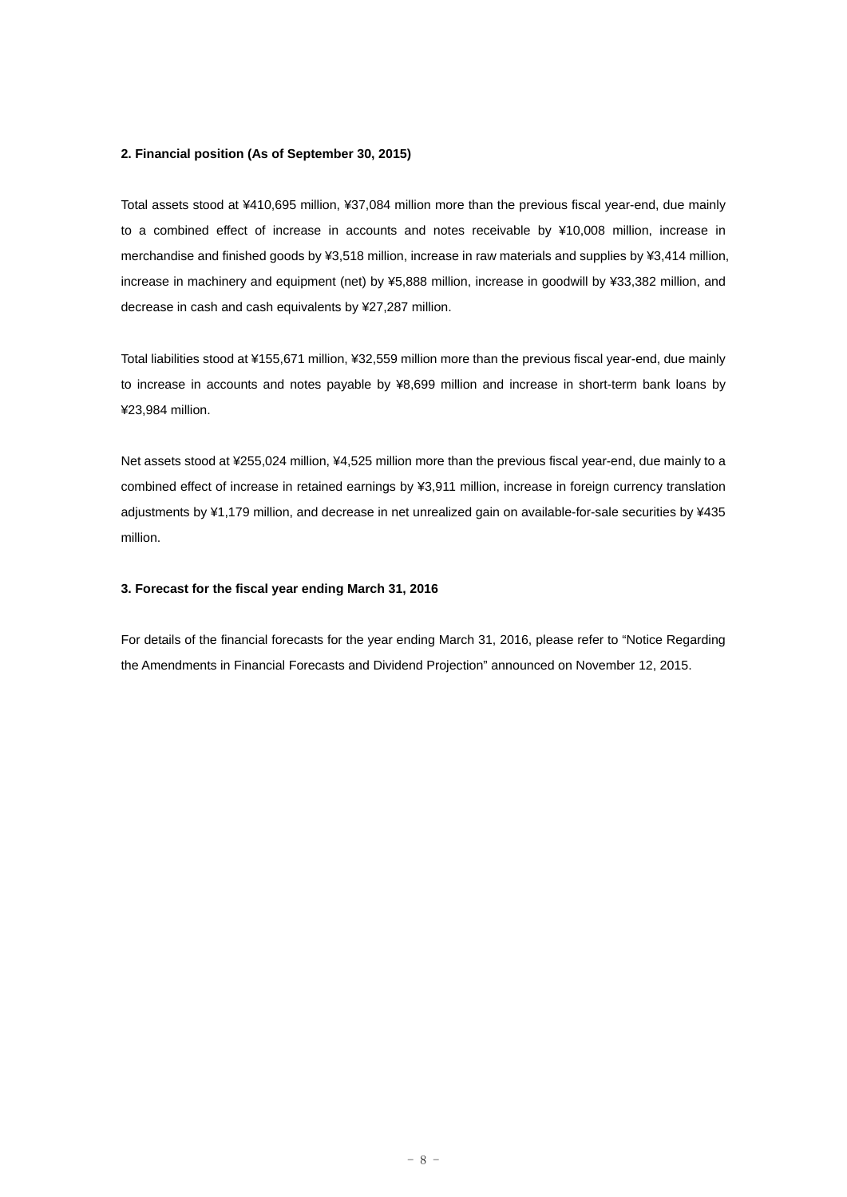#### **2. Financial position (As of September 30, 2015)**

Total assets stood at ¥410,695 million, ¥37,084 million more than the previous fiscal year-end, due mainly to a combined effect of increase in accounts and notes receivable by ¥10,008 million, increase in merchandise and finished goods by ¥3,518 million, increase in raw materials and supplies by ¥3,414 million, increase in machinery and equipment (net) by ¥5,888 million, increase in goodwill by ¥33,382 million, and decrease in cash and cash equivalents by ¥27,287 million.

Total liabilities stood at ¥155,671 million, ¥32,559 million more than the previous fiscal year-end, due mainly to increase in accounts and notes payable by ¥8,699 million and increase in short-term bank loans by ¥23,984 million.

Net assets stood at ¥255,024 million, ¥4,525 million more than the previous fiscal year-end, due mainly to a combined effect of increase in retained earnings by ¥3,911 million, increase in foreign currency translation adjustments by ¥1,179 million, and decrease in net unrealized gain on available-for-sale securities by ¥435 million.

## **3. Forecast for the fiscal year ending March 31, 2016**

For details of the financial forecasts for the year ending March 31, 2016, please refer to "Notice Regarding the Amendments in Financial Forecasts and Dividend Projection" announced on November 12, 2015.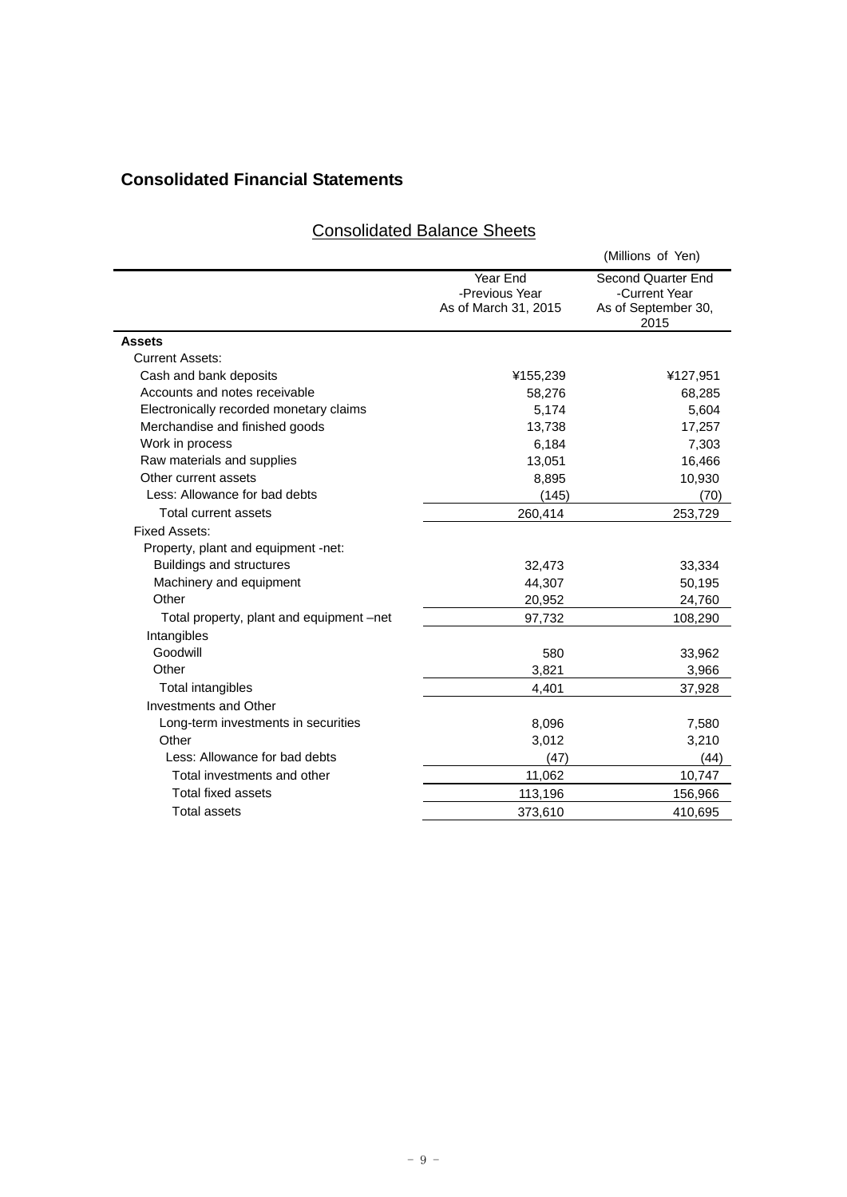# **Consolidated Financial Statements**

## Consolidated Balance Sheets

|                                          |                                                    | (Millions of Yen)                                                  |
|------------------------------------------|----------------------------------------------------|--------------------------------------------------------------------|
|                                          | Year End<br>-Previous Year<br>As of March 31, 2015 | Second Quarter End<br>-Current Year<br>As of September 30,<br>2015 |
| <b>Assets</b>                            |                                                    |                                                                    |
| <b>Current Assets:</b>                   |                                                    |                                                                    |
| Cash and bank deposits                   | ¥155,239                                           | ¥127,951                                                           |
| Accounts and notes receivable            | 58,276                                             | 68,285                                                             |
| Electronically recorded monetary claims  | 5,174                                              | 5,604                                                              |
| Merchandise and finished goods           | 13,738                                             | 17,257                                                             |
| Work in process                          | 6,184                                              | 7,303                                                              |
| Raw materials and supplies               | 13,051                                             | 16,466                                                             |
| Other current assets                     | 8,895                                              | 10,930                                                             |
| Less: Allowance for bad debts            | (145)                                              | (70)                                                               |
| Total current assets                     | 260,414                                            | 253,729                                                            |
| <b>Fixed Assets:</b>                     |                                                    |                                                                    |
| Property, plant and equipment -net:      |                                                    |                                                                    |
| <b>Buildings and structures</b>          | 32,473                                             | 33,334                                                             |
| Machinery and equipment                  | 44,307                                             | 50,195                                                             |
| Other                                    | 20,952                                             | 24,760                                                             |
| Total property, plant and equipment –net | 97,732                                             | 108,290                                                            |
| Intangibles                              |                                                    |                                                                    |
| Goodwill                                 | 580                                                | 33,962                                                             |
| Other                                    | 3,821                                              | 3,966                                                              |
| Total intangibles                        | 4,401                                              | 37,928                                                             |
| <b>Investments and Other</b>             |                                                    |                                                                    |
| Long-term investments in securities      | 8,096                                              | 7,580                                                              |
| Other                                    | 3,012                                              | 3,210                                                              |
| Less: Allowance for bad debts            | (47)                                               | (44)                                                               |
| Total investments and other              | 11,062                                             | 10,747                                                             |
| <b>Total fixed assets</b>                | 113,196                                            | 156,966                                                            |
| <b>Total assets</b>                      | 373,610                                            | 410,695                                                            |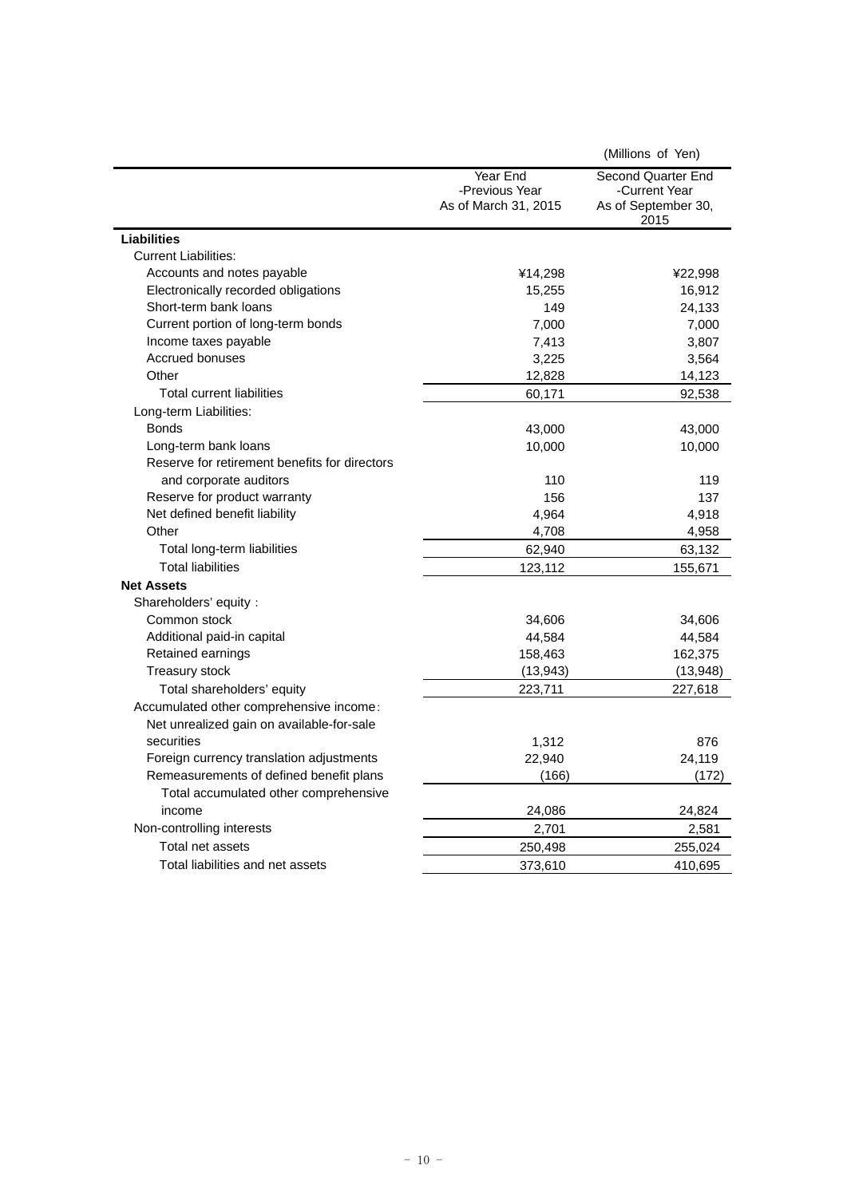|                                               |                                                    | (Millions of Yen)                                                  |
|-----------------------------------------------|----------------------------------------------------|--------------------------------------------------------------------|
|                                               | Year End<br>-Previous Year<br>As of March 31, 2015 | Second Quarter End<br>-Current Year<br>As of September 30,<br>2015 |
| <b>Liabilities</b>                            |                                                    |                                                                    |
| <b>Current Liabilities:</b>                   |                                                    |                                                                    |
| Accounts and notes payable                    | ¥14,298                                            | ¥22,998                                                            |
| Electronically recorded obligations           | 15,255                                             | 16,912                                                             |
| Short-term bank loans                         | 149                                                | 24,133                                                             |
| Current portion of long-term bonds            | 7,000                                              | 7,000                                                              |
| Income taxes payable                          | 7,413                                              | 3,807                                                              |
| <b>Accrued bonuses</b>                        | 3,225                                              | 3,564                                                              |
| Other                                         | 12,828                                             | 14,123                                                             |
| <b>Total current liabilities</b>              | 60,171                                             | 92,538                                                             |
| Long-term Liabilities:                        |                                                    |                                                                    |
| <b>Bonds</b>                                  | 43,000                                             | 43,000                                                             |
| Long-term bank loans                          | 10,000                                             | 10,000                                                             |
| Reserve for retirement benefits for directors |                                                    |                                                                    |
| and corporate auditors                        | 110                                                | 119                                                                |
| Reserve for product warranty                  | 156                                                | 137                                                                |
| Net defined benefit liability                 | 4,964                                              | 4,918                                                              |
| Other                                         | 4,708                                              | 4,958                                                              |
| Total long-term liabilities                   | 62,940                                             | 63,132                                                             |
| <b>Total liabilities</b>                      | 123,112                                            | 155,671                                                            |
| <b>Net Assets</b>                             |                                                    |                                                                    |
| Shareholders' equity:                         |                                                    |                                                                    |
| Common stock                                  | 34,606                                             | 34,606                                                             |
| Additional paid-in capital                    | 44,584                                             | 44,584                                                             |
| Retained earnings                             | 158,463                                            | 162,375                                                            |
| Treasury stock                                | (13, 943)                                          | (13, 948)                                                          |
| Total shareholders' equity                    | 223,711                                            | 227,618                                                            |
| Accumulated other comprehensive income:       |                                                    |                                                                    |
| Net unrealized gain on available-for-sale     |                                                    |                                                                    |
| securities                                    | 1,312                                              | 876                                                                |
| Foreign currency translation adjustments      | 22,940                                             | 24,119                                                             |
| Remeasurements of defined benefit plans       | (166)                                              | (172)                                                              |
| Total accumulated other comprehensive         |                                                    |                                                                    |
| income                                        | 24,086                                             | 24,824                                                             |
| Non-controlling interests                     | 2,701                                              | 2,581                                                              |
| Total net assets                              | 250,498                                            | 255,024                                                            |
| Total liabilities and net assets              | 373,610                                            | 410,695                                                            |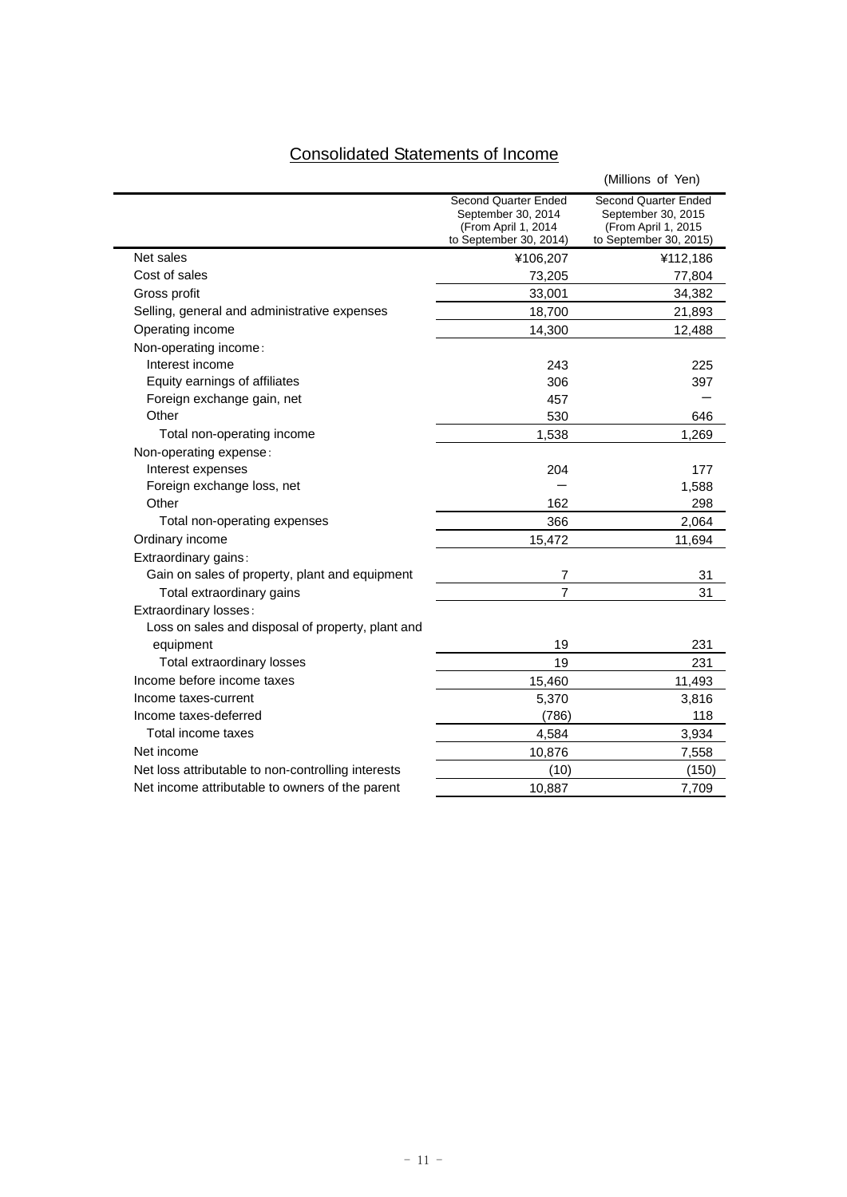## Consolidated Statements of Income

|                                                    |                                                                                             | (Millions of Yen)                                                                           |
|----------------------------------------------------|---------------------------------------------------------------------------------------------|---------------------------------------------------------------------------------------------|
|                                                    | Second Quarter Ended<br>September 30, 2014<br>(From April 1, 2014<br>to September 30, 2014) | Second Quarter Ended<br>September 30, 2015<br>(From April 1, 2015<br>to September 30, 2015) |
| Net sales                                          | ¥106,207                                                                                    | ¥112,186                                                                                    |
| Cost of sales                                      | 73,205                                                                                      | 77,804                                                                                      |
| Gross profit                                       | 33,001                                                                                      | 34,382                                                                                      |
| Selling, general and administrative expenses       | 18,700                                                                                      | 21,893                                                                                      |
| Operating income                                   | 14,300                                                                                      | 12,488                                                                                      |
| Non-operating income:                              |                                                                                             |                                                                                             |
| Interest income                                    | 243                                                                                         | 225                                                                                         |
| Equity earnings of affiliates                      | 306                                                                                         | 397                                                                                         |
| Foreign exchange gain, net                         | 457                                                                                         |                                                                                             |
| Other                                              | 530                                                                                         | 646                                                                                         |
| Total non-operating income                         | 1,538                                                                                       | 1,269                                                                                       |
| Non-operating expense:                             |                                                                                             |                                                                                             |
| Interest expenses                                  | 204                                                                                         | 177                                                                                         |
| Foreign exchange loss, net                         |                                                                                             | 1,588                                                                                       |
| Other                                              | 162                                                                                         | 298                                                                                         |
| Total non-operating expenses                       | 366                                                                                         | 2,064                                                                                       |
| Ordinary income                                    | 15,472                                                                                      | 11,694                                                                                      |
| Extraordinary gains:                               |                                                                                             |                                                                                             |
| Gain on sales of property, plant and equipment     | 7                                                                                           | 31                                                                                          |
| Total extraordinary gains                          | $\overline{7}$                                                                              | 31                                                                                          |
| Extraordinary losses:                              |                                                                                             |                                                                                             |
| Loss on sales and disposal of property, plant and  |                                                                                             |                                                                                             |
| equipment                                          | 19                                                                                          | 231                                                                                         |
| Total extraordinary losses                         | 19                                                                                          | 231                                                                                         |
| Income before income taxes                         | 15,460                                                                                      | 11,493                                                                                      |
| Income taxes-current                               | 5,370                                                                                       | 3,816                                                                                       |
| Income taxes-deferred                              | (786)                                                                                       | 118                                                                                         |
| Total income taxes                                 | 4,584                                                                                       | 3,934                                                                                       |
| Net income                                         | 10,876                                                                                      | 7,558                                                                                       |
| Net loss attributable to non-controlling interests | (10)                                                                                        | (150)                                                                                       |
| Net income attributable to owners of the parent    | 10,887                                                                                      | 7,709                                                                                       |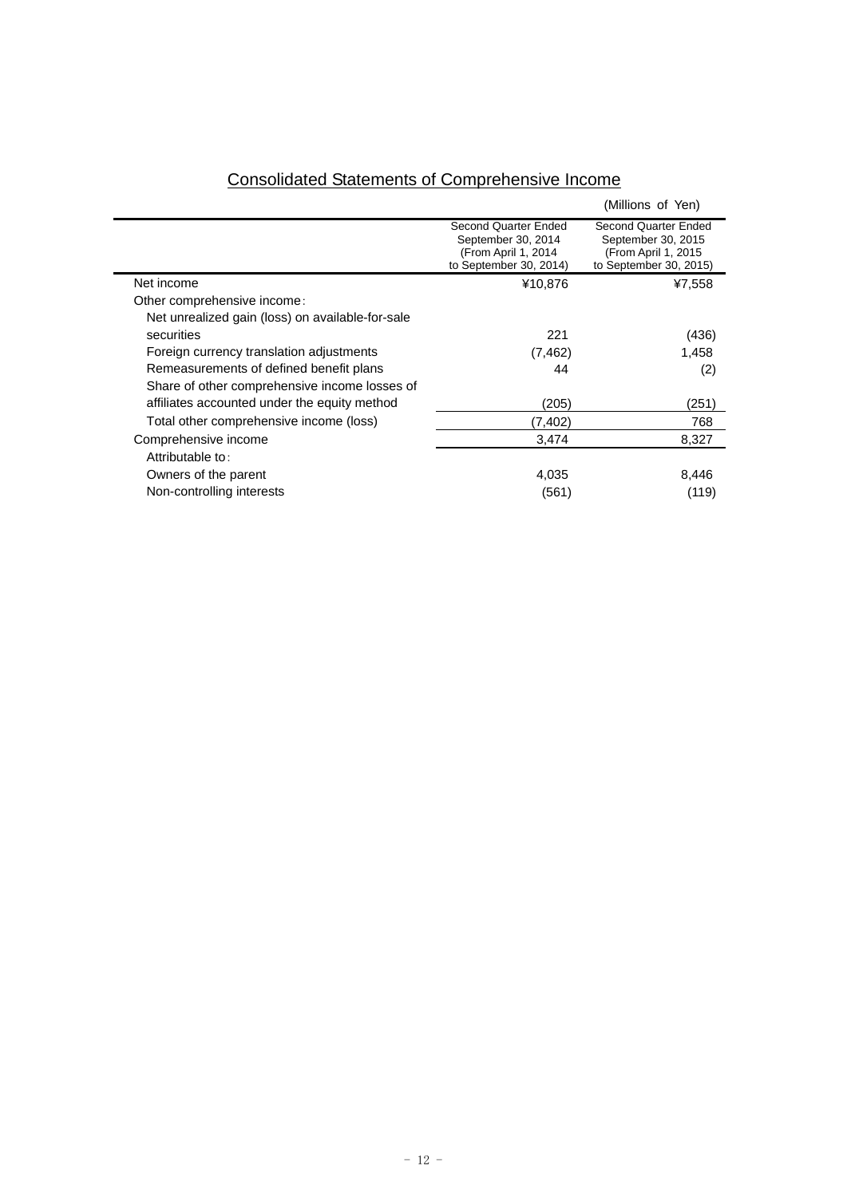|                                                  |                                                                                              | (Millions of Yen)                                                                                   |
|--------------------------------------------------|----------------------------------------------------------------------------------------------|-----------------------------------------------------------------------------------------------------|
|                                                  | Second Quarter Ended<br>September 30, 2014<br>(From April 1, 2014)<br>to September 30, 2014) | <b>Second Quarter Ended</b><br>September 30, 2015<br>(From April 1, 2015)<br>to September 30, 2015) |
| Net income                                       | ¥10,876                                                                                      | ¥7,558                                                                                              |
| Other comprehensive income:                      |                                                                                              |                                                                                                     |
| Net unrealized gain (loss) on available-for-sale |                                                                                              |                                                                                                     |
| securities                                       | 221                                                                                          | (436)                                                                                               |
| Foreign currency translation adjustments         | (7, 462)                                                                                     | 1,458                                                                                               |
| Remeasurements of defined benefit plans          | 44                                                                                           | (2)                                                                                                 |
| Share of other comprehensive income losses of    |                                                                                              |                                                                                                     |
| affiliates accounted under the equity method     | (205)                                                                                        | (251)                                                                                               |
| Total other comprehensive income (loss)          | (7,402)                                                                                      | 768                                                                                                 |
| Comprehensive income                             | 3,474                                                                                        | 8,327                                                                                               |
| Attributable to:                                 |                                                                                              |                                                                                                     |
| Owners of the parent                             | 4,035                                                                                        | 8,446                                                                                               |
| Non-controlling interests                        | (561)                                                                                        | (119)                                                                                               |
|                                                  |                                                                                              |                                                                                                     |

## Consolidated Statements of Comprehensive Income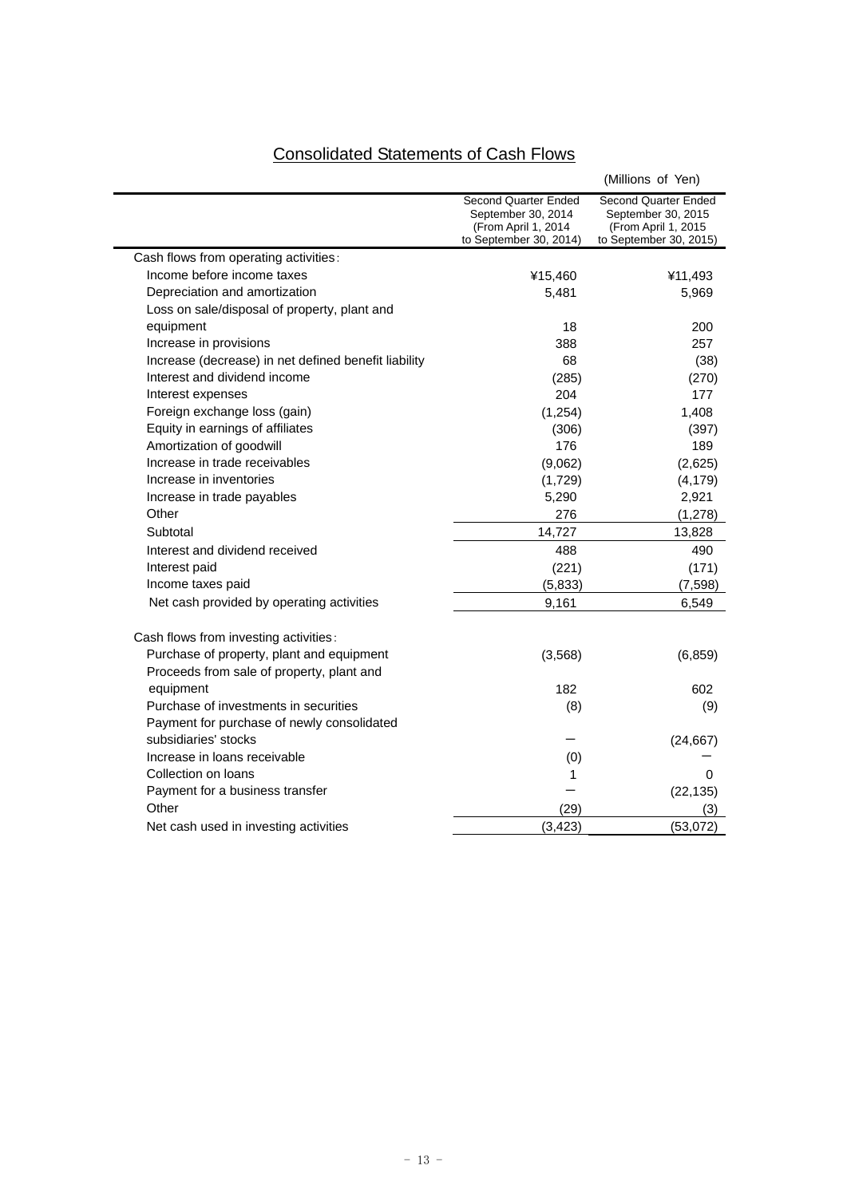# Consolidated Statements of Cash Flows

|                                                      |                                                                                             | (Millions of Yen)                                                                            |
|------------------------------------------------------|---------------------------------------------------------------------------------------------|----------------------------------------------------------------------------------------------|
|                                                      | Second Quarter Ended<br>September 30, 2014<br>(From April 1, 2014<br>to September 30, 2014) | Second Quarter Ended<br>September 30, 2015<br>(From April 1, 2015)<br>to September 30, 2015) |
| Cash flows from operating activities:                |                                                                                             |                                                                                              |
| Income before income taxes                           | ¥15,460                                                                                     | ¥11,493                                                                                      |
| Depreciation and amortization                        | 5,481                                                                                       | 5,969                                                                                        |
| Loss on sale/disposal of property, plant and         |                                                                                             |                                                                                              |
| equipment                                            | 18                                                                                          | 200                                                                                          |
| Increase in provisions                               | 388                                                                                         | 257                                                                                          |
| Increase (decrease) in net defined benefit liability | 68                                                                                          | (38)                                                                                         |
| Interest and dividend income                         | (285)                                                                                       | (270)                                                                                        |
| Interest expenses                                    | 204                                                                                         | 177                                                                                          |
| Foreign exchange loss (gain)                         | (1, 254)                                                                                    | 1,408                                                                                        |
| Equity in earnings of affiliates                     | (306)                                                                                       | (397)                                                                                        |
| Amortization of goodwill                             | 176                                                                                         | 189                                                                                          |
| Increase in trade receivables                        | (9,062)                                                                                     | (2,625)                                                                                      |
| Increase in inventories                              | (1,729)                                                                                     | (4, 179)                                                                                     |
| Increase in trade payables                           | 5,290                                                                                       | 2,921                                                                                        |
| Other                                                | 276                                                                                         | (1,278)                                                                                      |
| Subtotal                                             | 14,727                                                                                      | 13,828                                                                                       |
| Interest and dividend received                       | 488                                                                                         | 490                                                                                          |
| Interest paid                                        | (221)                                                                                       | (171)                                                                                        |
| Income taxes paid                                    | (5,833)                                                                                     | (7, 598)                                                                                     |
| Net cash provided by operating activities            | 9,161                                                                                       | 6,549                                                                                        |
| Cash flows from investing activities:                |                                                                                             |                                                                                              |
| Purchase of property, plant and equipment            | (3, 568)                                                                                    | (6, 859)                                                                                     |
| Proceeds from sale of property, plant and            |                                                                                             |                                                                                              |
| equipment                                            | 182                                                                                         | 602                                                                                          |
| Purchase of investments in securities                | (8)                                                                                         | (9)                                                                                          |
| Payment for purchase of newly consolidated           |                                                                                             |                                                                                              |
| subsidiaries' stocks                                 |                                                                                             | (24, 667)                                                                                    |
| Increase in loans receivable                         | (0)                                                                                         |                                                                                              |
| Collection on loans                                  | 1                                                                                           | 0                                                                                            |
| Payment for a business transfer                      |                                                                                             | (22, 135)                                                                                    |
| Other                                                | (29)                                                                                        | (3)                                                                                          |
| Net cash used in investing activities                | (3, 423)                                                                                    | (53,072)                                                                                     |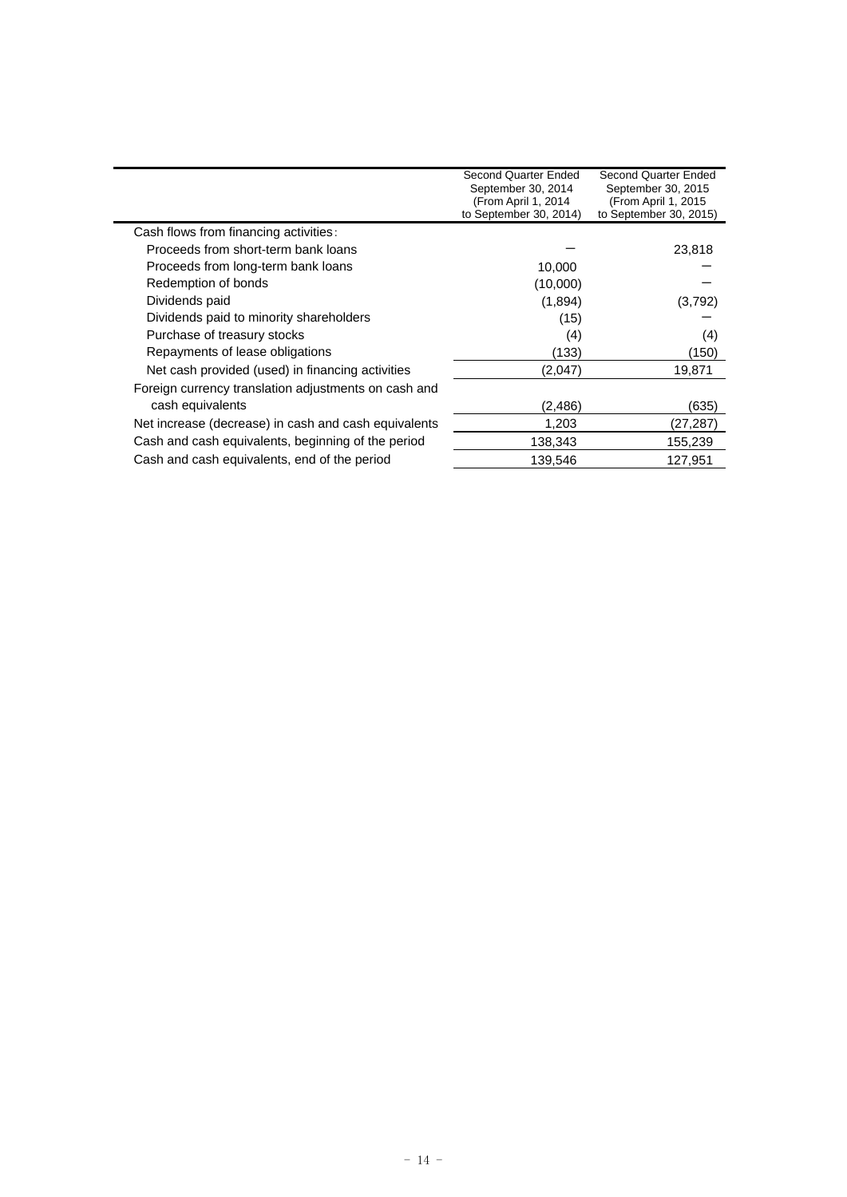|                                                      | Second Quarter Ended<br>September 30, 2014<br>(From April 1, 2014<br>to September 30, 2014) | Second Quarter Ended<br>September 30, 2015<br>(From April 1, 2015<br>to September 30, 2015) |
|------------------------------------------------------|---------------------------------------------------------------------------------------------|---------------------------------------------------------------------------------------------|
| Cash flows from financing activities:                |                                                                                             |                                                                                             |
| Proceeds from short-term bank loans                  |                                                                                             | 23,818                                                                                      |
| Proceeds from long-term bank loans                   | 10,000                                                                                      |                                                                                             |
| Redemption of bonds                                  | (10,000)                                                                                    |                                                                                             |
| Dividends paid                                       | (1,894)                                                                                     | (3,792)                                                                                     |
| Dividends paid to minority shareholders              | (15)                                                                                        |                                                                                             |
| Purchase of treasury stocks                          | (4)                                                                                         | (4)                                                                                         |
| Repayments of lease obligations                      | (133)                                                                                       | (150)                                                                                       |
| Net cash provided (used) in financing activities     | (2,047)                                                                                     | 19,871                                                                                      |
| Foreign currency translation adjustments on cash and |                                                                                             |                                                                                             |
| cash equivalents                                     | (2, 486)                                                                                    | (635)                                                                                       |
| Net increase (decrease) in cash and cash equivalents | 1,203                                                                                       | (27,287)                                                                                    |
| Cash and cash equivalents, beginning of the period   | 138,343                                                                                     | 155,239                                                                                     |
| Cash and cash equivalents, end of the period         | 139,546                                                                                     | 127,951                                                                                     |
|                                                      |                                                                                             |                                                                                             |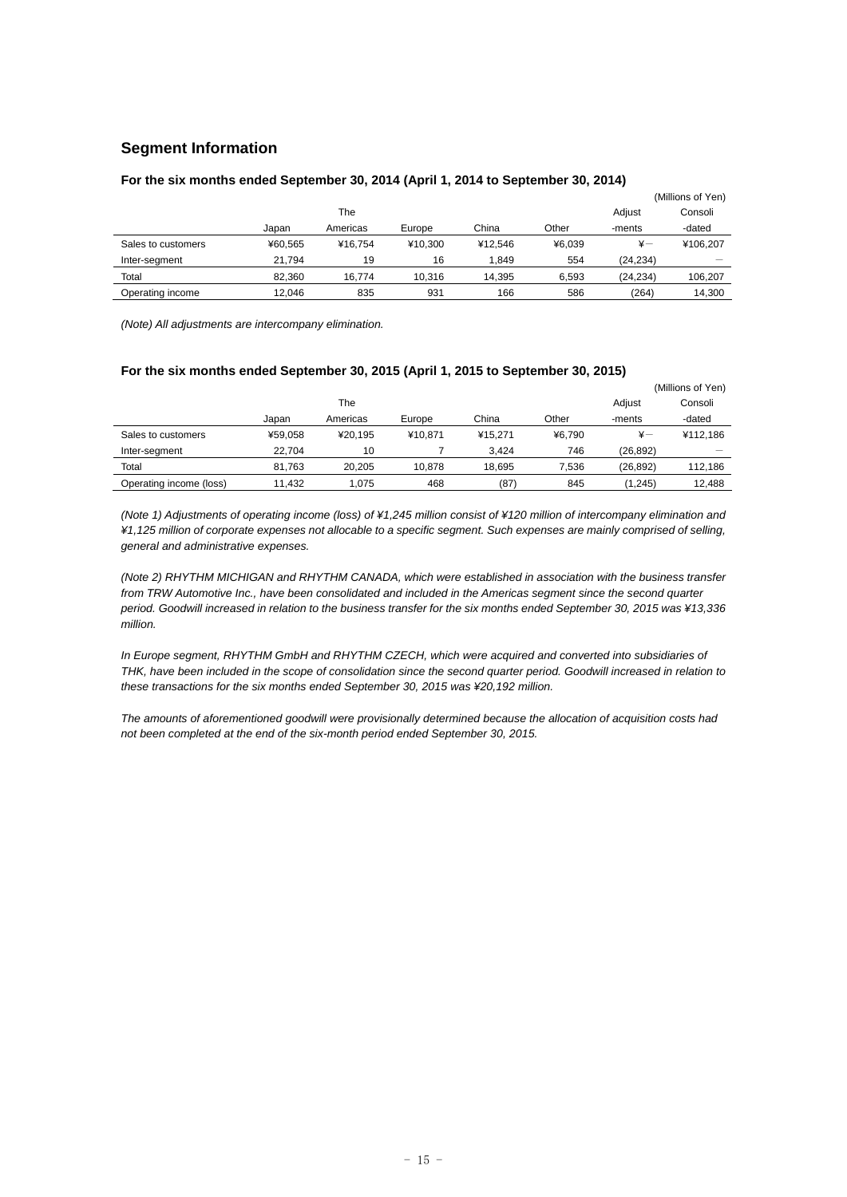## **Segment Information**

|                    |         |          |         |         |        |              | (Millions of Yen) |
|--------------------|---------|----------|---------|---------|--------|--------------|-------------------|
|                    |         | The      |         |         |        | Adjust       | Consoli           |
|                    | Japan   | Americas | Europe  | China   | Other  | -ments       | -dated            |
| Sales to customers | ¥60.565 | ¥16.754  | ¥10.300 | ¥12.546 | ¥6,039 | $\ddot{x}$ — | ¥106.207          |
| Inter-segment      | 21.794  | 19       | 16      | 1.849   | 554    | (24.234)     |                   |
| Total              | 82.360  | 16.774   | 10.316  | 14.395  | 6.593  | (24.234)     | 106.207           |
| Operating income   | 12.046  | 835      | 931     | 166     | 586    | (264)        | 14.300            |

#### **For the six months ended September 30, 2014 (April 1, 2014 to September 30, 2014)**

*(Note) All adjustments are intercompany elimination.* 

### **For the six months ended September 30, 2015 (April 1, 2015 to September 30, 2015)**

|                         |         |          |         |         |        |               | (Millions of Yen) |
|-------------------------|---------|----------|---------|---------|--------|---------------|-------------------|
|                         |         | The      |         |         |        | Adjust        | Consoli           |
|                         | Japan   | Americas | Europe  | China   | Other  | -ments        | -dated            |
| Sales to customers      | ¥59.058 | ¥20.195  | ¥10.871 | ¥15.271 | ¥6.790 | $\frac{1}{2}$ | ¥112,186          |
| Inter-segment           | 22.704  | 10       |         | 3.424   | 746    | (26, 892)     |                   |
| Total                   | 81.763  | 20.205   | 10.878  | 18.695  | 7.536  | (26, 892)     | 112.186           |
| Operating income (loss) | 11.432  | 1.075    | 468     | (87)    | 845    | (1,245)       | 12.488            |

*(Note 1) Adjustments of operating income (loss) of ¥1,245 million consist of ¥120 million of intercompany elimination and ¥1,125 million of corporate expenses not allocable to a specific segment. Such expenses are mainly comprised of selling, general and administrative expenses.* 

*(Note 2) RHYTHM MICHIGAN and RHYTHM CANADA, which were established in association with the business transfer from TRW Automotive Inc., have been consolidated and included in the Americas segment since the second quarter period. Goodwill increased in relation to the business transfer for the six months ended September 30, 2015 was ¥13,336 million.* 

*In Europe segment, RHYTHM GmbH and RHYTHM CZECH, which were acquired and converted into subsidiaries of THK, have been included in the scope of consolidation since the second quarter period. Goodwill increased in relation to these transactions for the six months ended September 30, 2015 was ¥20,192 million.* 

*The amounts of aforementioned goodwill were provisionally determined because the allocation of acquisition costs had not been completed at the end of the six-month period ended September 30, 2015.*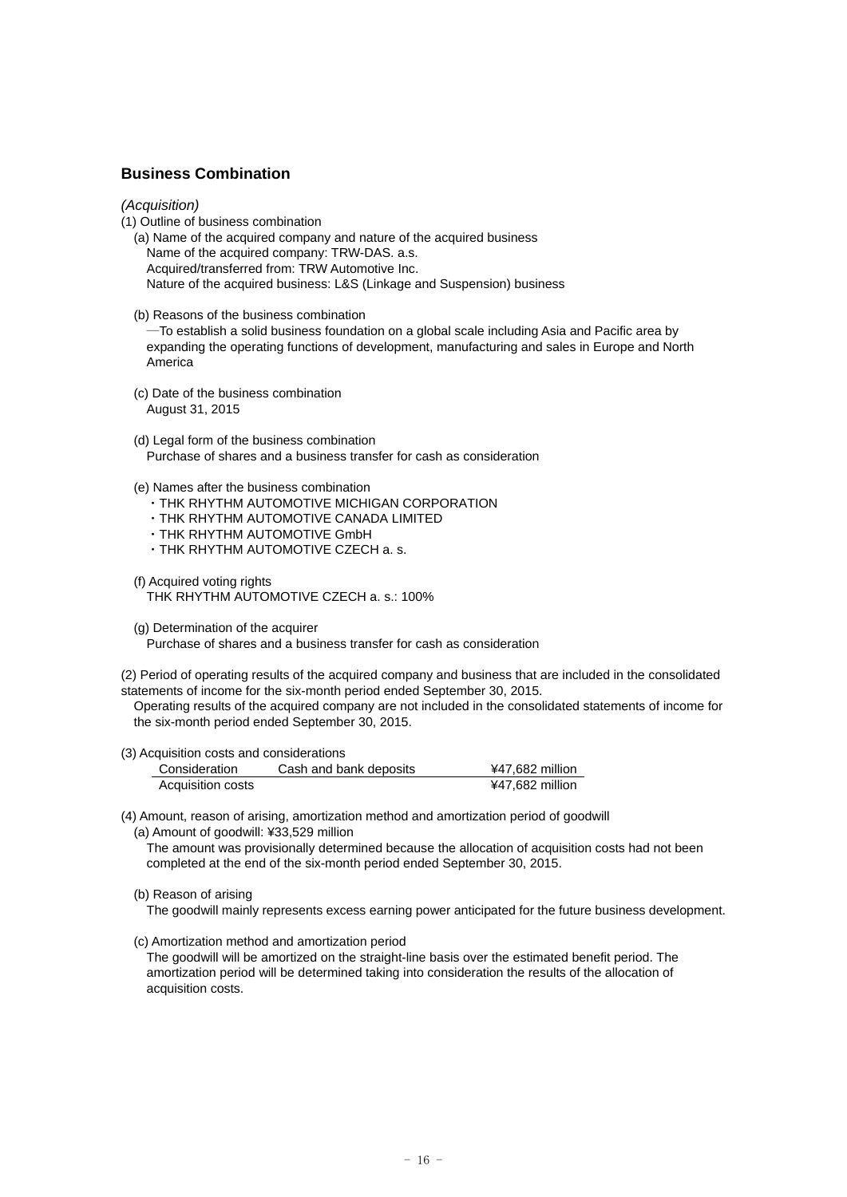## **Business Combination**

## *(Acquisition)*

- (1) Outline of business combination
	- (a) Name of the acquired company and nature of the acquired business Name of the acquired company: TRW-DAS. a.s. Acquired/transferred from: TRW Automotive Inc. Nature of the acquired business: L&S (Linkage and Suspension) business
	- (b) Reasons of the business combination

―To establish a solid business foundation on a global scale including Asia and Pacific area by expanding the operating functions of development, manufacturing and sales in Europe and North America

- (c) Date of the business combination August 31, 2015
- (d) Legal form of the business combination Purchase of shares and a business transfer for cash as consideration
- (e) Names after the business combination
	- ・THK RHYTHM AUTOMOTIVE MICHIGAN CORPORATION
	- ・THK RHYTHM AUTOMOTIVE CANADA LIMITED
	- ・THK RHYTHM AUTOMOTIVE GmbH
	- ・THK RHYTHM AUTOMOTIVE CZECH a. s.
- (f) Acquired voting rights

THK RHYTHM AUTOMOTIVE CZECH a. s.: 100%

(g) Determination of the acquirer

Purchase of shares and a business transfer for cash as consideration

(2) Period of operating results of the acquired company and business that are included in the consolidated statements of income for the six-month period ended September 30, 2015.

Operating results of the acquired company are not included in the consolidated statements of income for the six-month period ended September 30, 2015.

### (3) Acquisition costs and considerations

| Consideration     | Cash and bank deposits | ¥47,682 million |
|-------------------|------------------------|-----------------|
| Acquisition costs |                        | ¥47,682 million |

(4) Amount, reason of arising, amortization method and amortization period of goodwill

(a) Amount of goodwill: ¥33,529 million The amount was provisionally determined because the allocation of acquisition costs had not been completed at the end of the six-month period ended September 30, 2015.

(b) Reason of arising

The goodwill mainly represents excess earning power anticipated for the future business development.

(c) Amortization method and amortization period

The goodwill will be amortized on the straight-line basis over the estimated benefit period. The amortization period will be determined taking into consideration the results of the allocation of acquisition costs.